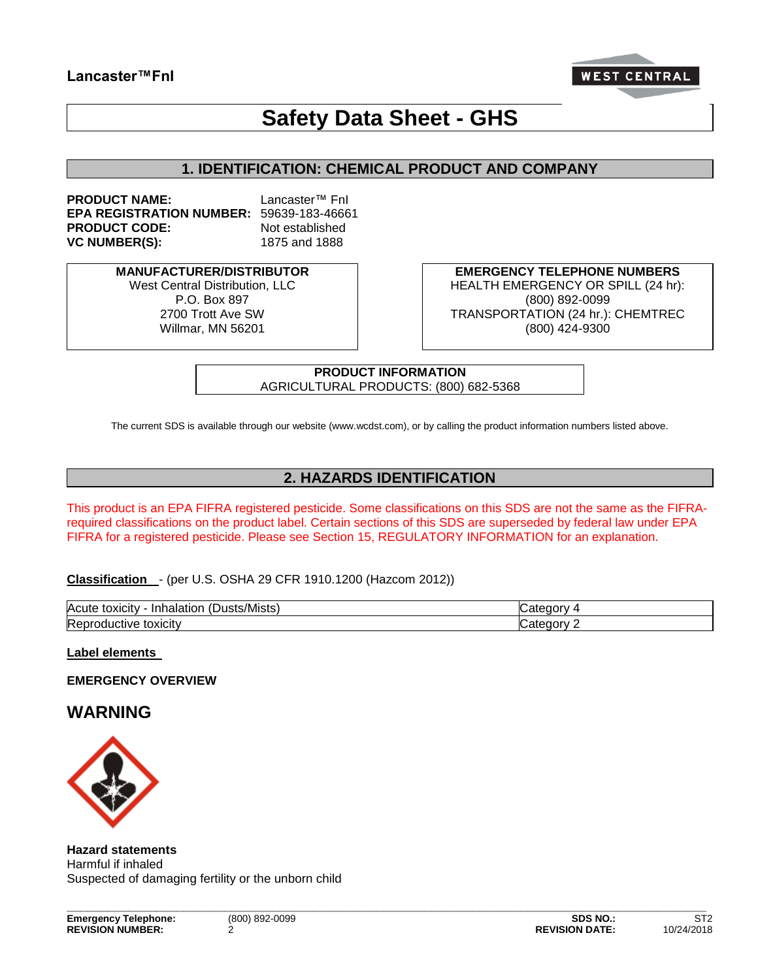## **Lancaster™FnI**



# **Safety Data Sheet - GHS**

## **1. IDENTIFICATION: CHEMICAL PRODUCT AND COMPANY**

**PRODUCT NAME:** Lancaster™ FnI **EPA REGISTRATION NUMBER:** 59639-183-46661 **PRODUCT CODE:** Not established **VC NUMBER(S):** 1875 and 1888

**MANUFACTURER/DISTRIBUTOR**

West Central Distribution, LLC P.O. Box 897 2700 Trott Ave SW Willmar, MN 56201

**EMERGENCY TELEPHONE NUMBERS** HEALTH EMERGENCY OR SPILL (24 hr): (800) 892-0099 TRANSPORTATION (24 hr.): CHEMTREC (800) 424-9300

**PRODUCT INFORMATION** AGRICULTURAL PRODUCTS: (800) 682-5368

The current SDS is available through our website (www.wcdst.com), or by calling the product information numbers listed above.

## **2. HAZARDS IDENTIFICATION**

This product is an EPA FIFRA registered pesticide. Some classifications on this SDS are not the same as the FIFRArequired classifications on the product label. Certain sections of this SDS are superseded by federal law under EPA FIFRA for a registered pesticide. Please see Section 15, REGULATORY INFORMATION for an explanation.

**Classification** - (per U.S. OSHA 29 CFR 1910.1200 (Hazcom 2012))

| Acute<br>sts/Mistsː<br>, toxicity<br>Inl<br>માર<br>naiatioi | -----<br>וו זו |
|-------------------------------------------------------------|----------------|
| Repr<br>toxicity<br>.oductive <sub>T</sub>                  | .<br>າດາກ      |

**\_\_\_\_\_\_\_\_\_\_\_\_\_\_\_\_\_\_\_\_\_\_\_\_\_\_\_\_\_\_\_\_\_\_\_\_\_\_\_\_\_\_\_\_\_\_\_\_\_\_\_\_\_\_\_\_\_\_\_\_\_\_\_\_\_\_\_\_\_\_\_\_\_\_\_\_\_\_\_\_\_\_\_\_\_\_\_\_\_\_\_\_\_**

**Label elements** 

**EMERGENCY OVERVIEW** 

**WARNING** 



**Hazard statements** Harmful if inhaled Suspected of damaging fertility or the unborn child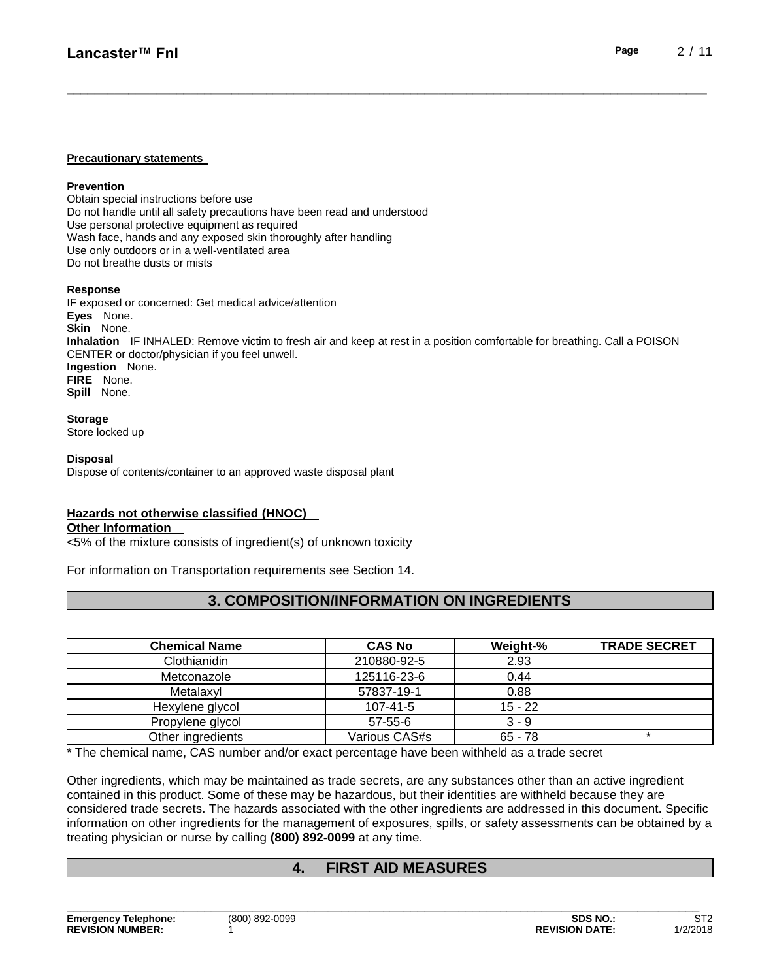#### **Precautionary statements**

#### **Prevention**

Obtain special instructions before use Do not handle until all safety precautions have been read and understood Use personal protective equipment as required Wash face, hands and any exposed skin thoroughly after handling Use only outdoors or in a well-ventilated area Do not breathe dusts or mists

#### **Response**

IF exposed or concerned: Get medical advice/attention **Eyes** None. **Skin** None. **Inhalation** IF INHALED: Remove victim to fresh air and keep at rest in a position comfortable for breathing. Call a POISON CENTER or doctor/physician if you feel unwell. **Ingestion** None. **FIRE** None. **Spill** None.

**\_\_\_\_\_\_\_\_\_\_\_\_\_\_\_\_\_\_\_\_\_\_\_\_\_\_\_\_\_\_\_\_\_\_\_\_\_\_\_\_\_\_\_\_\_\_\_\_\_\_\_\_\_\_\_\_\_\_\_\_\_\_\_\_\_\_\_\_\_\_\_\_\_\_\_\_\_\_\_\_\_\_\_\_\_\_\_\_\_\_\_\_\_**

#### **Storage**

Store locked up

#### **Disposal**

Dispose of contents/container to an approved waste disposal plant

## **Hazards not otherwise classified (HNOC)**

#### **Other Information**

<5% of the mixture consists of ingredient(s) of unknown toxicity

For information on Transportation requirements see Section 14.

## **3. COMPOSITION/INFORMATION ON INGREDIENTS**

| <b>Chemical Name</b> | <b>CAS No</b>  | Weight-%  | <b>TRADE SECRET</b> |
|----------------------|----------------|-----------|---------------------|
| Clothianidin         | 210880-92-5    | 2.93      |                     |
| Metconazole          | 125116-23-6    | 0.44      |                     |
| Metalaxyl            | 57837-19-1     | 0.88      |                     |
| Hexylene glycol      | $107 - 41 - 5$ | $15 - 22$ |                     |
| Propylene glycol     | $57 - 55 - 6$  | $3 - 9$   |                     |
| Other ingredients    | Various CAS#s  | $65 - 78$ | $\star$             |

\* The chemical name, CAS number and/or exact percentage have been withheld as a trade secret

Other ingredients, which may be maintained as trade secrets, are any substances other than an active ingredient contained in this product. Some of these may be hazardous, but their identities are withheld because they are considered trade secrets. The hazards associated with the other ingredients are addressed in this document. Specific information on other ingredients for the management of exposures, spills, or safety assessments can be obtained by a treating physician or nurse by calling **(800) 892-0099** at any time.

## **4. FIRST AID MEASURES**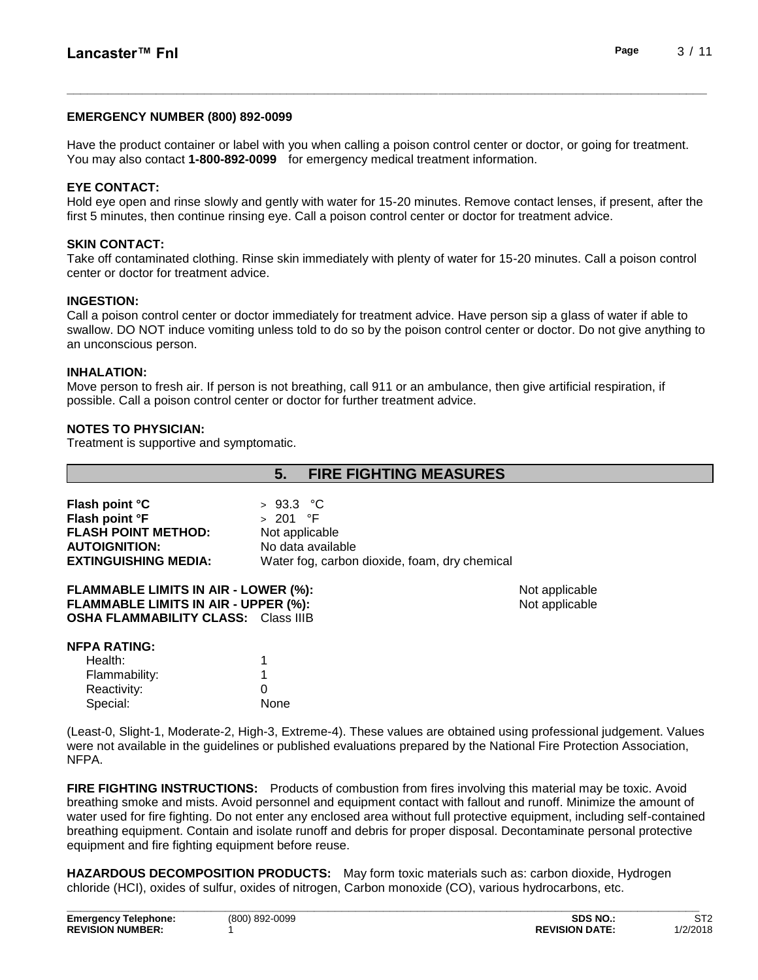### **EMERGENCY NUMBER (800) 892-0099**

Have the product container or label with you when calling a poison control center or doctor, or going for treatment. You may also contact **1-800-892-0099** for emergency medical treatment information.

**\_\_\_\_\_\_\_\_\_\_\_\_\_\_\_\_\_\_\_\_\_\_\_\_\_\_\_\_\_\_\_\_\_\_\_\_\_\_\_\_\_\_\_\_\_\_\_\_\_\_\_\_\_\_\_\_\_\_\_\_\_\_\_\_\_\_\_\_\_\_\_\_\_\_\_\_\_\_\_\_\_\_\_\_\_\_\_\_\_\_\_\_\_**

### **EYE CONTACT:**

Hold eye open and rinse slowly and gently with water for 15-20 minutes. Remove contact lenses, if present, after the first 5 minutes, then continue rinsing eye. Call a poison control center or doctor for treatment advice.

### **SKIN CONTACT:**

Take off contaminated clothing. Rinse skin immediately with plenty of water for 15-20 minutes. Call a poison control center or doctor for treatment advice.

### **INGESTION:**

Call a poison control center or doctor immediately for treatment advice. Have person sip a glass of water if able to swallow. DO NOT induce vomiting unless told to do so by the poison control center or doctor. Do not give anything to an unconscious person.

### **INHALATION:**

Move person to fresh air. If person is not breathing, call 911 or an ambulance, then give artificial respiration, if possible. Call a poison control center or doctor for further treatment advice.

### **NOTES TO PHYSICIAN:**

Treatment is supportive and symptomatic.

Special: None

|                                             | <b>FIRE FIGHTING MEASURES</b><br>5.           |                |
|---------------------------------------------|-----------------------------------------------|----------------|
|                                             |                                               |                |
| Flash point °C                              | $>93.3$ °C                                    |                |
| Flash point °F                              | $> 201$ °F                                    |                |
| <b>FLASH POINT METHOD:</b>                  | Not applicable                                |                |
| <b>AUTOIGNITION:</b>                        | No data available                             |                |
| <b>EXTINGUISHING MEDIA:</b>                 | Water fog, carbon dioxide, foam, dry chemical |                |
| <b>FLAMMABLE LIMITS IN AIR - LOWER (%):</b> |                                               | Not applicable |
| FLAMMABLE LIMITS IN AIR - UPPER (%):        |                                               | Not applicable |
| <b>OSHA FLAMMABILITY CLASS: Class IIIB</b>  |                                               |                |
| NFPA RATING:                                |                                               |                |
| Health:                                     | 1                                             |                |
| Flammability:                               |                                               |                |
| Reactivity:                                 | 0                                             |                |

(Least-0, Slight-1, Moderate-2, High-3, Extreme-4). These values are obtained using professional judgement. Values were not available in the guidelines or published evaluations prepared by the National Fire Protection Association, NFPA.

**FIRE FIGHTING INSTRUCTIONS:** Products of combustion from fires involving this material may be toxic. Avoid breathing smoke and mists. Avoid personnel and equipment contact with fallout and runoff. Minimize the amount of water used for fire fighting. Do not enter any enclosed area without full protective equipment, including self-contained breathing equipment. Contain and isolate runoff and debris for proper disposal. Decontaminate personal protective equipment and fire fighting equipment before reuse.

**HAZARDOUS DECOMPOSITION PRODUCTS:** May form toxic materials such as: carbon dioxide, Hydrogen chloride (HCI), oxides of sulfur, oxides of nitrogen, Carbon monoxide (CO), various hydrocarbons, etc.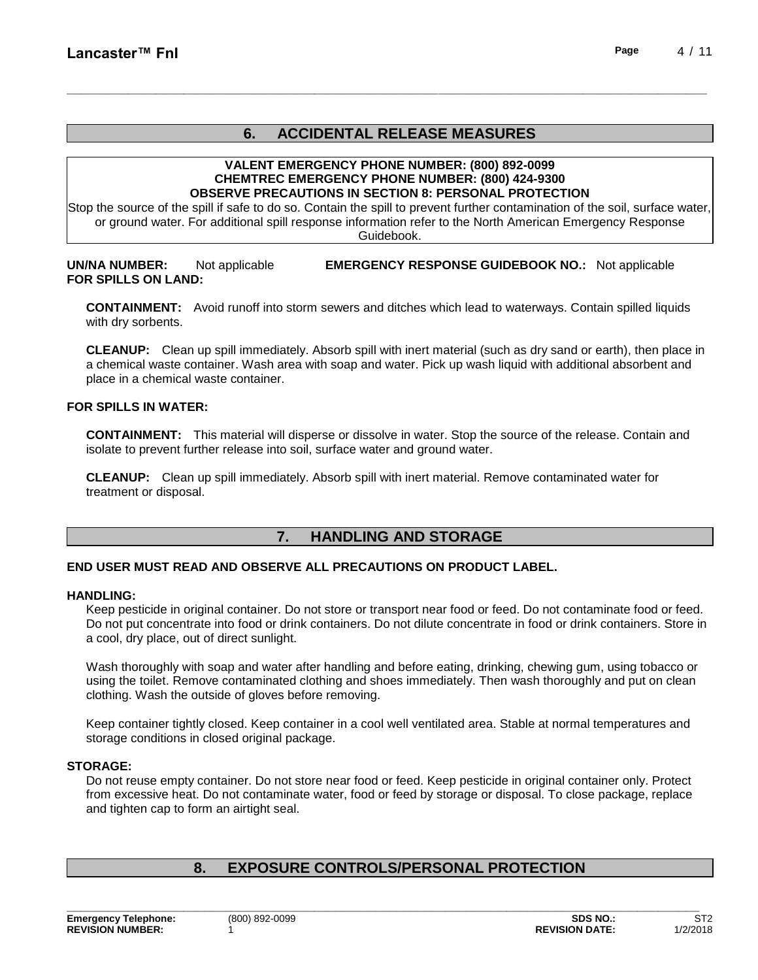## **6. ACCIDENTAL RELEASE MEASURES**

**\_\_\_\_\_\_\_\_\_\_\_\_\_\_\_\_\_\_\_\_\_\_\_\_\_\_\_\_\_\_\_\_\_\_\_\_\_\_\_\_\_\_\_\_\_\_\_\_\_\_\_\_\_\_\_\_\_\_\_\_\_\_\_\_\_\_\_\_\_\_\_\_\_\_\_\_\_\_\_\_\_\_\_\_\_\_\_\_\_\_\_\_\_**

#### **VALENT EMERGENCY PHONE NUMBER: (800) 892-0099 CHEMTREC EMERGENCY PHONE NUMBER: (800) 424-9300 OBSERVE PRECAUTIONS IN SECTION 8: PERSONAL PROTECTION**

Stop the source of the spill if safe to do so. Contain the spill to prevent further contamination of the soil, surface water, or ground water. For additional spill response information refer to the North American Emergency Response

Guidebook.

## **UN/NA NUMBER:** Not applicable **EMERGENCY RESPONSE GUIDEBOOK NO.:** Not applicable **FOR SPILLS ON LAND:**

**CONTAINMENT:** Avoid runoff into storm sewers and ditches which lead to waterways. Contain spilled liquids with dry sorbents.

**CLEANUP:** Clean up spill immediately. Absorb spill with inert material (such as dry sand or earth), then place in a chemical waste container. Wash area with soap and water. Pick up wash liquid with additional absorbent and place in a chemical waste container.

### **FOR SPILLS IN WATER:**

**CONTAINMENT:** This material will disperse or dissolve in water. Stop the source of the release. Contain and isolate to prevent further release into soil, surface water and ground water.

**CLEANUP:** Clean up spill immediately. Absorb spill with inert material. Remove contaminated water for treatment or disposal.

## **7. HANDLING AND STORAGE**

#### **END USER MUST READ AND OBSERVE ALL PRECAUTIONS ON PRODUCT LABEL.**

#### **HANDLING:**

Keep pesticide in original container. Do not store or transport near food or feed. Do not contaminate food or feed. Do not put concentrate into food or drink containers. Do not dilute concentrate in food or drink containers. Store in a cool, dry place, out of direct sunlight.

Wash thoroughly with soap and water after handling and before eating, drinking, chewing gum, using tobacco or using the toilet. Remove contaminated clothing and shoes immediately. Then wash thoroughly and put on clean clothing. Wash the outside of gloves before removing.

Keep container tightly closed. Keep container in a cool well ventilated area. Stable at normal temperatures and storage conditions in closed original package.

#### **STORAGE:**

Do not reuse empty container. Do not store near food or feed. Keep pesticide in original container only. Protect from excessive heat. Do not contaminate water, food or feed by storage or disposal. To close package, replace and tighten cap to form an airtight seal.

## **8. EXPOSURE CONTROLS/PERSONAL PROTECTION**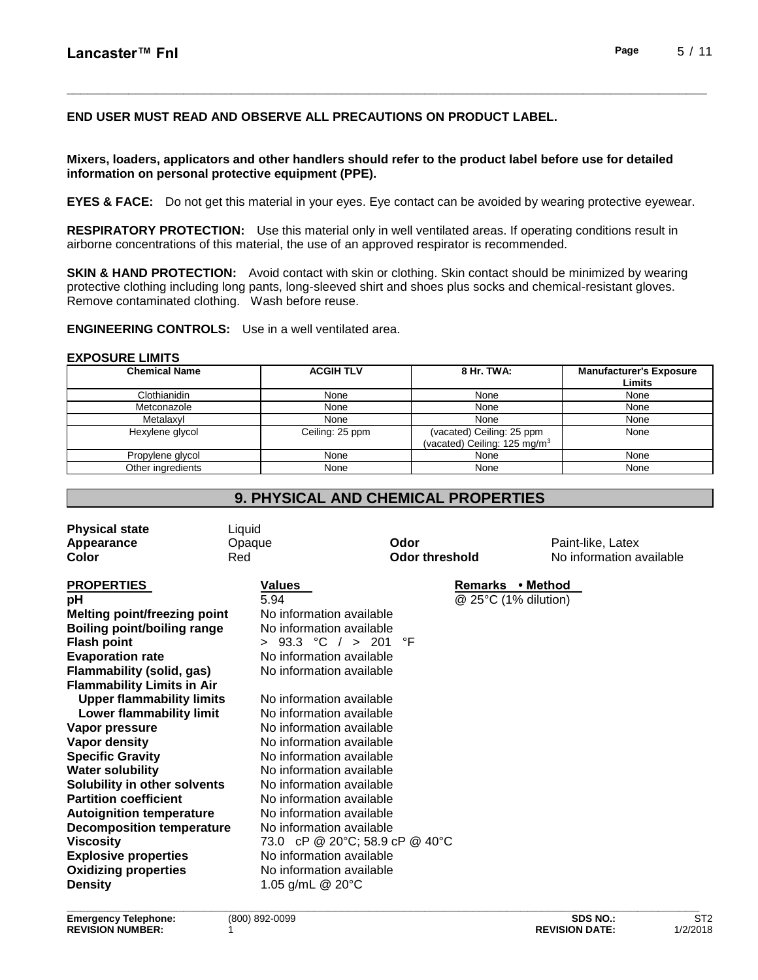## **END USER MUST READ AND OBSERVE ALL PRECAUTIONS ON PRODUCT LABEL.**

#### **Mixers, loaders, applicators and other handlers should refer to the product label before use for detailed information on personal protective equipment (PPE).**

**EYES & FACE:** Do not get this material in your eyes. Eye contact can be avoided by wearing protective eyewear.

**\_\_\_\_\_\_\_\_\_\_\_\_\_\_\_\_\_\_\_\_\_\_\_\_\_\_\_\_\_\_\_\_\_\_\_\_\_\_\_\_\_\_\_\_\_\_\_\_\_\_\_\_\_\_\_\_\_\_\_\_\_\_\_\_\_\_\_\_\_\_\_\_\_\_\_\_\_\_\_\_\_\_\_\_\_\_\_\_\_\_\_\_\_**

**RESPIRATORY PROTECTION:** Use this material only in well ventilated areas. If operating conditions result in airborne concentrations of this material, the use of an approved respirator is recommended.

**SKIN & HAND PROTECTION:** Avoid contact with skin or clothing. Skin contact should be minimized by wearing protective clothing including long pants, long-sleeved shirt and shoes plus socks and chemical-resistant gloves. Remove contaminated clothing. Wash before reuse.

**ENGINEERING CONTROLS:** Use in a well ventilated area.

#### **EXPOSURE LIMITS**

| <b>Chemical Name</b> | <b>ACGIH TLV</b> | 8 Hr. TWA:                                                            | <b>Manufacturer's Exposure</b><br>Limits |
|----------------------|------------------|-----------------------------------------------------------------------|------------------------------------------|
| Clothianidin         | None             | None                                                                  | None                                     |
| Metconazole          | None             | None                                                                  | None                                     |
| Metalaxvl            | None             | None                                                                  | None                                     |
| Hexylene glycol      | Ceiling: 25 ppm  | (vacated) Ceiling: 25 ppm<br>(vacated) Ceiling: 125 mg/m <sup>3</sup> | None                                     |
| Propylene glycol     | None             | None                                                                  | None                                     |
| Other ingredients    | None             | None                                                                  | None                                     |

## **9. PHYSICAL AND CHEMICAL PROPERTIES**

| <b>Physical state</b>               | Liquid                         |                       |                          |
|-------------------------------------|--------------------------------|-----------------------|--------------------------|
| Appearance                          | Opaque                         | Odor                  | Paint-like, Latex        |
| Color                               | Red                            | <b>Odor threshold</b> | No information available |
|                                     |                                |                       |                          |
| <b>PROPERTIES</b>                   | Values                         | Remarks • Method      |                          |
| рH                                  | 5.94                           | @ 25°C (1% dilution)  |                          |
| <b>Melting point/freezing point</b> | No information available       |                       |                          |
| <b>Boiling point/boiling range</b>  | No information available       |                       |                          |
| <b>Flash point</b>                  | > $93.3 °C / > 201$            | °F                    |                          |
| <b>Evaporation rate</b>             | No information available       |                       |                          |
| Flammability (solid, gas)           | No information available       |                       |                          |
| <b>Flammability Limits in Air</b>   |                                |                       |                          |
| <b>Upper flammability limits</b>    | No information available       |                       |                          |
| Lower flammability limit            | No information available       |                       |                          |
| Vapor pressure                      | No information available       |                       |                          |
| Vapor density                       | No information available       |                       |                          |
| <b>Specific Gravity</b>             | No information available       |                       |                          |
| <b>Water solubility</b>             | No information available       |                       |                          |
| Solubility in other solvents        | No information available       |                       |                          |
| <b>Partition coefficient</b>        | No information available       |                       |                          |
| <b>Autoignition temperature</b>     | No information available       |                       |                          |
| <b>Decomposition temperature</b>    | No information available       |                       |                          |
| <b>Viscosity</b>                    | 73.0 cP @ 20°C; 58.9 cP @ 40°C |                       |                          |
| <b>Explosive properties</b>         | No information available       |                       |                          |
| <b>Oxidizing properties</b>         | No information available       |                       |                          |
| <b>Density</b>                      | 1.05 g/mL @ 20°C               |                       |                          |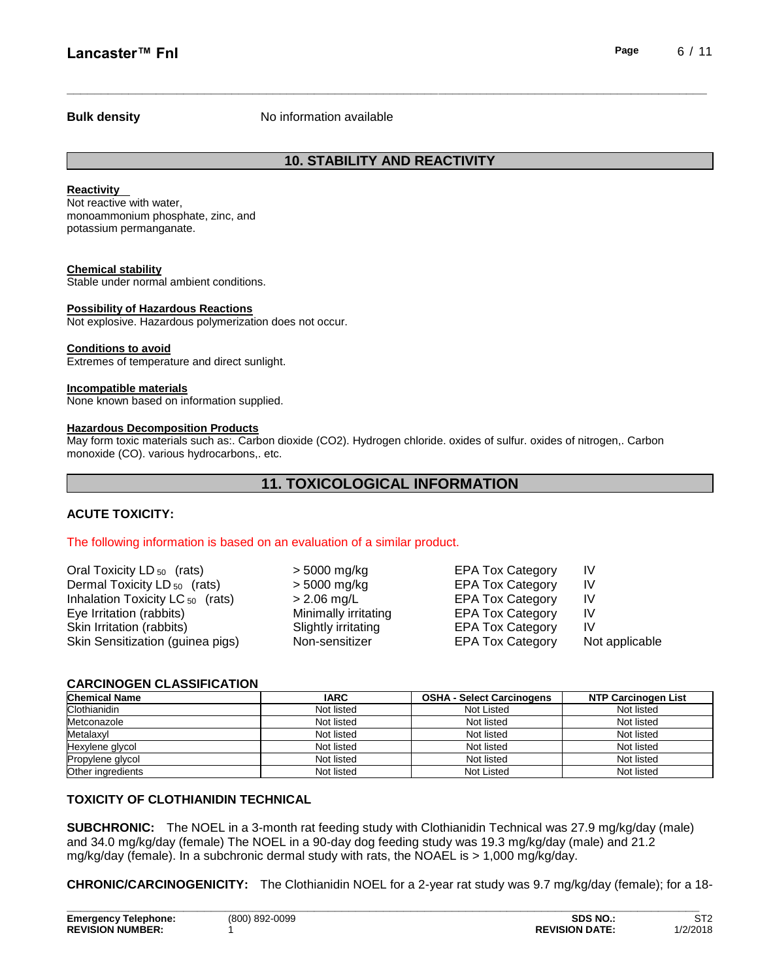#### **Bulk density No information available**

## **10. STABILITY AND REACTIVITY**

**\_\_\_\_\_\_\_\_\_\_\_\_\_\_\_\_\_\_\_\_\_\_\_\_\_\_\_\_\_\_\_\_\_\_\_\_\_\_\_\_\_\_\_\_\_\_\_\_\_\_\_\_\_\_\_\_\_\_\_\_\_\_\_\_\_\_\_\_\_\_\_\_\_\_\_\_\_\_\_\_\_\_\_\_\_\_\_\_\_\_\_\_\_**

#### **Reactivity**

Not reactive with water, monoammonium phosphate, zinc, and potassium permanganate.

#### **Chemical stability**

Stable under normal ambient conditions.

#### **Possibility of Hazardous Reactions**

Not explosive. Hazardous polymerization does not occur.

#### **Conditions to avoid**

Extremes of temperature and direct sunlight.

#### **Incompatible materials**

None known based on information supplied.

#### **Hazardous Decomposition Products**

May form toxic materials such as:. Carbon dioxide (CO2). Hydrogen chloride. oxides of sulfur. oxides of nitrogen,. Carbon monoxide (CO). various hydrocarbons,. etc.

## **11. TOXICOLOGICAL INFORMATION**

#### **ACUTE TOXICITY:**

#### The following information is based on an evaluation of a similar product.

| Oral Toxicity LD <sub>50</sub> (rats)   | > 5000 mg/kg         | <b>EPA Tox Category</b> | IV             |
|-----------------------------------------|----------------------|-------------------------|----------------|
| Dermal Toxicity LD <sub>50</sub> (rats) | > 5000 mg/kg         | <b>EPA Tox Category</b> | IV             |
| Inhalation Toxicity LC $_{50}$ (rats)   | $> 2.06$ mg/L        | <b>EPA Tox Category</b> | IV             |
| Eye Irritation (rabbits)                | Minimally irritating | <b>EPA Tox Category</b> | IV             |
| Skin Irritation (rabbits)               | Slightly irritating  | <b>EPA Tox Category</b> | IV             |
| Skin Sensitization (guinea pigs)        | Non-sensitizer       | <b>EPA Tox Category</b> | Not applicable |

#### **CARCINOGEN CLASSIFICATION**

| <b>Chemical Name</b> | <b>IARC</b> | <b>OSHA - Select Carcinogens</b> | <b>NTP Carcinogen List</b> |
|----------------------|-------------|----------------------------------|----------------------------|
| Clothianidin         | Not listed  | Not Listed                       | Not listed                 |
| Metconazole          | Not listed  | Not listed                       | Not listed                 |
| Metalaxyl            | Not listed  | Not listed                       | Not listed                 |
| Hexylene glycol      | Not listed  | Not listed                       | Not listed                 |
| Propylene glycol     | Not listed  | Not listed                       | Not listed                 |
| Other ingredients    | Not listed  | Not Listed                       | Not listed                 |

#### **TOXICITY OF CLOTHIANIDIN TECHNICAL**

**SUBCHRONIC:** The NOEL in a 3-month rat feeding study with Clothianidin Technical was 27.9 mg/kg/day (male) and 34.0 mg/kg/day (female) The NOEL in a 90-day dog feeding study was 19.3 mg/kg/day (male) and 21.2 mg/kg/day (female). In a subchronic dermal study with rats, the NOAEL is > 1,000 mg/kg/day.

**CHRONIC/CARCINOGENICITY:** The Clothianidin NOEL for a 2-year rat study was 9.7 mg/kg/day (female); for a 18-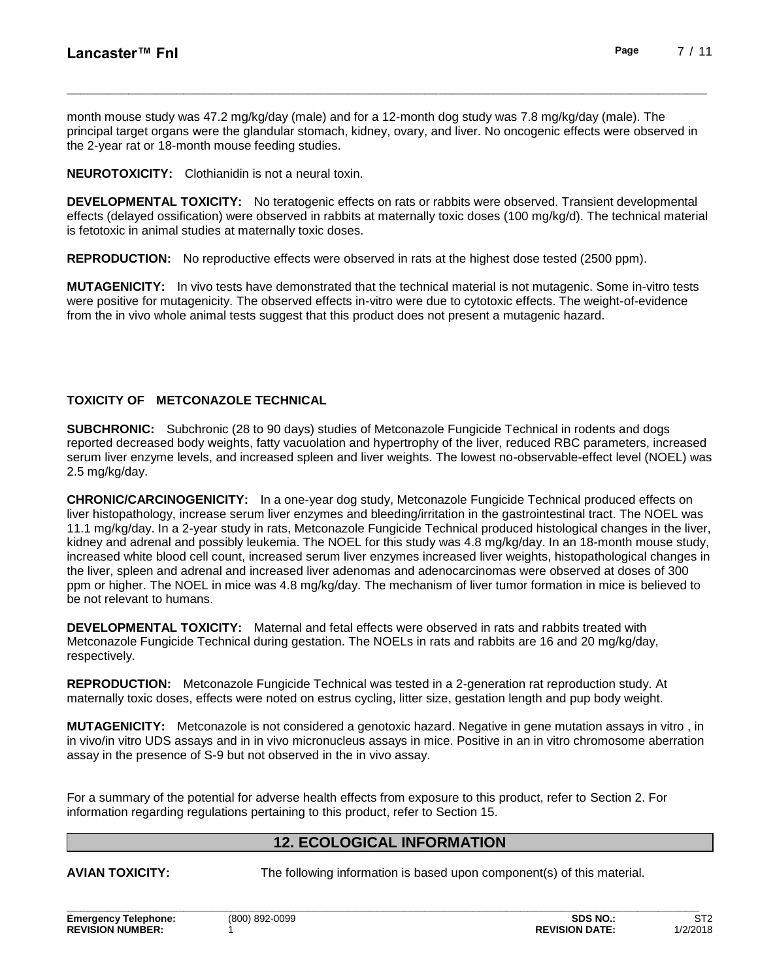month mouse study was 47.2 mg/kg/day (male) and for a 12-month dog study was 7.8 mg/kg/day (male). The principal target organs were the glandular stomach, kidney, ovary, and liver. No oncogenic effects were observed in the 2-year rat or 18-month mouse feeding studies.

**\_\_\_\_\_\_\_\_\_\_\_\_\_\_\_\_\_\_\_\_\_\_\_\_\_\_\_\_\_\_\_\_\_\_\_\_\_\_\_\_\_\_\_\_\_\_\_\_\_\_\_\_\_\_\_\_\_\_\_\_\_\_\_\_\_\_\_\_\_\_\_\_\_\_\_\_\_\_\_\_\_\_\_\_\_\_\_\_\_\_\_\_\_**

**NEUROTOXICITY:** Clothianidin is not a neural toxin.

**DEVELOPMENTAL TOXICITY:** No teratogenic effects on rats or rabbits were observed. Transient developmental effects (delayed ossification) were observed in rabbits at maternally toxic doses (100 mg/kg/d). The technical material is fetotoxic in animal studies at maternally toxic doses.

**REPRODUCTION:** No reproductive effects were observed in rats at the highest dose tested (2500 ppm).

**MUTAGENICITY:** In vivo tests have demonstrated that the technical material is not mutagenic. Some in-vitro tests were positive for mutagenicity. The observed effects in-vitro were due to cytotoxic effects. The weight-of-evidence from the in vivo whole animal tests suggest that this product does not present a mutagenic hazard.

## **TOXICITY OF METCONAZOLE TECHNICAL**

**SUBCHRONIC:** Subchronic (28 to 90 days) studies of Metconazole Fungicide Technical in rodents and dogs reported decreased body weights, fatty vacuolation and hypertrophy of the liver, reduced RBC parameters, increased serum liver enzyme levels, and increased spleen and liver weights. The lowest no-observable-effect level (NOEL) was 2.5 mg/kg/day.

**CHRONIC/CARCINOGENICITY:** In a one-year dog study, Metconazole Fungicide Technical produced effects on liver histopathology, increase serum liver enzymes and bleeding/irritation in the gastrointestinal tract. The NOEL was 11.1 mg/kg/day. In a 2-year study in rats, Metconazole Fungicide Technical produced histological changes in the liver, kidney and adrenal and possibly leukemia. The NOEL for this study was 4.8 mg/kg/day. In an 18-month mouse study, increased white blood cell count, increased serum liver enzymes increased liver weights, histopathological changes in the liver, spleen and adrenal and increased liver adenomas and adenocarcinomas were observed at doses of 300 ppm or higher. The NOEL in mice was 4.8 mg/kg/day. The mechanism of liver tumor formation in mice is believed to be not relevant to humans.

**DEVELOPMENTAL TOXICITY:** Maternal and fetal effects were observed in rats and rabbits treated with Metconazole Fungicide Technical during gestation. The NOELs in rats and rabbits are 16 and 20 mg/kg/day, respectively.

**REPRODUCTION:** Metconazole Fungicide Technical was tested in a 2-generation rat reproduction study. At maternally toxic doses, effects were noted on estrus cycling, litter size, gestation length and pup body weight.

**MUTAGENICITY:** Metconazole is not considered a genotoxic hazard. Negative in gene mutation assays in vitro , in in vivo/in vitro UDS assays and in in vivo micronucleus assays in mice. Positive in an in vitro chromosome aberration assay in the presence of S-9 but not observed in the in vivo assay.

For a summary of the potential for adverse health effects from exposure to this product, refer to Section 2. For information regarding regulations pertaining to this product, refer to Section 15.

## **12. ECOLOGICAL INFORMATION**

**\_\_\_\_\_\_\_\_\_\_\_\_\_\_\_\_\_\_\_\_\_\_\_\_\_\_\_\_\_\_\_\_\_\_\_\_\_\_\_\_\_\_\_\_\_\_\_\_\_\_\_\_\_\_\_\_\_\_\_\_\_\_\_\_\_\_\_\_\_\_\_\_\_\_\_\_\_\_\_\_\_\_\_\_\_\_\_\_\_\_\_\_** 

**AVIAN TOXICITY:** The following information is based upon component(s) of this material.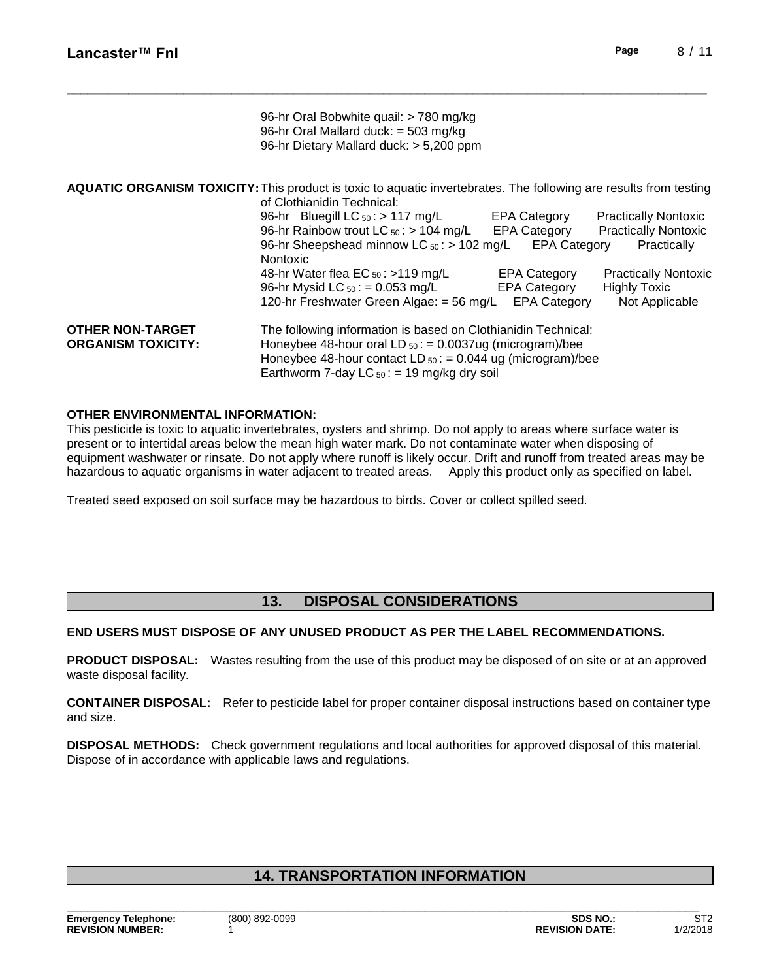|                                                      | 96-hr Oral Bobwhite quail: > 780 mg/kg<br>96-hr Oral Mallard duck: = 503 mg/kg<br>96-hr Dietary Mallard duck: > 5,200 ppm                                                                                                                              |                                                                   |                                                                           |
|------------------------------------------------------|--------------------------------------------------------------------------------------------------------------------------------------------------------------------------------------------------------------------------------------------------------|-------------------------------------------------------------------|---------------------------------------------------------------------------|
|                                                      | <b>AQUATIC ORGANISM TOXICITY:</b> This product is toxic to aquatic invertebrates. The following are results from testing<br>of Clothianidin Technical:                                                                                                 |                                                                   |                                                                           |
|                                                      | 96-hr Bluegill LC $_{50}$ : > 117 mg/L<br>96-hr Rainbow trout LC $_{50}$ : > 104 mg/L EPA Category<br>96-hr Sheepshead minnow LC $_{50}$ : > 102 mg/L<br><b>Nontoxic</b>                                                                               | <b>EPA Category</b><br><b>EPA Category</b>                        | <b>Practically Nontoxic</b><br><b>Practically Nontoxic</b><br>Practically |
|                                                      | 48-hr Water flea EC $_{50}$ : >119 mg/L<br>96-hr Mysid LC $_{50}$ : = 0.053 mg/L<br>120-hr Freshwater Green Algae: = 56 mg/L                                                                                                                           | <b>EPA Category</b><br><b>EPA Category</b><br><b>EPA Category</b> | <b>Practically Nontoxic</b><br><b>Highly Toxic</b><br>Not Applicable      |
| <b>OTHER NON-TARGET</b><br><b>ORGANISM TOXICITY:</b> | The following information is based on Clothianidin Technical:<br>Honeybee 48-hour oral LD $_{50}$ : = 0.0037ug (microgram)/bee<br>Honeybee 48-hour contact LD $_{50}$ : = 0.044 ug (microgram)/bee<br>Earthworm 7-day LC $_{50}$ : = 19 mg/kg dry soil |                                                                   |                                                                           |

**\_\_\_\_\_\_\_\_\_\_\_\_\_\_\_\_\_\_\_\_\_\_\_\_\_\_\_\_\_\_\_\_\_\_\_\_\_\_\_\_\_\_\_\_\_\_\_\_\_\_\_\_\_\_\_\_\_\_\_\_\_\_\_\_\_\_\_\_\_\_\_\_\_\_\_\_\_\_\_\_\_\_\_\_\_\_\_\_\_\_\_\_\_**

### **OTHER ENVIRONMENTAL INFORMATION:**

This pesticide is toxic to aquatic invertebrates, oysters and shrimp. Do not apply to areas where surface water is present or to intertidal areas below the mean high water mark. Do not contaminate water when disposing of equipment washwater or rinsate. Do not apply where runoff is likely occur. Drift and runoff from treated areas may be hazardous to aquatic organisms in water adjacent to treated areas. Apply this product only as specified on label.

Treated seed exposed on soil surface may be hazardous to birds. Cover or collect spilled seed.

## **13. DISPOSAL CONSIDERATIONS**

## **END USERS MUST DISPOSE OF ANY UNUSED PRODUCT AS PER THE LABEL RECOMMENDATIONS.**

**PRODUCT DISPOSAL:** Wastes resulting from the use of this product may be disposed of on site or at an approved waste disposal facility.

**CONTAINER DISPOSAL:** Refer to pesticide label for proper container disposal instructions based on container type and size.

**DISPOSAL METHODS:** Check government regulations and local authorities for approved disposal of this material. Dispose of in accordance with applicable laws and regulations.

## **14. TRANSPORTATION INFORMATION**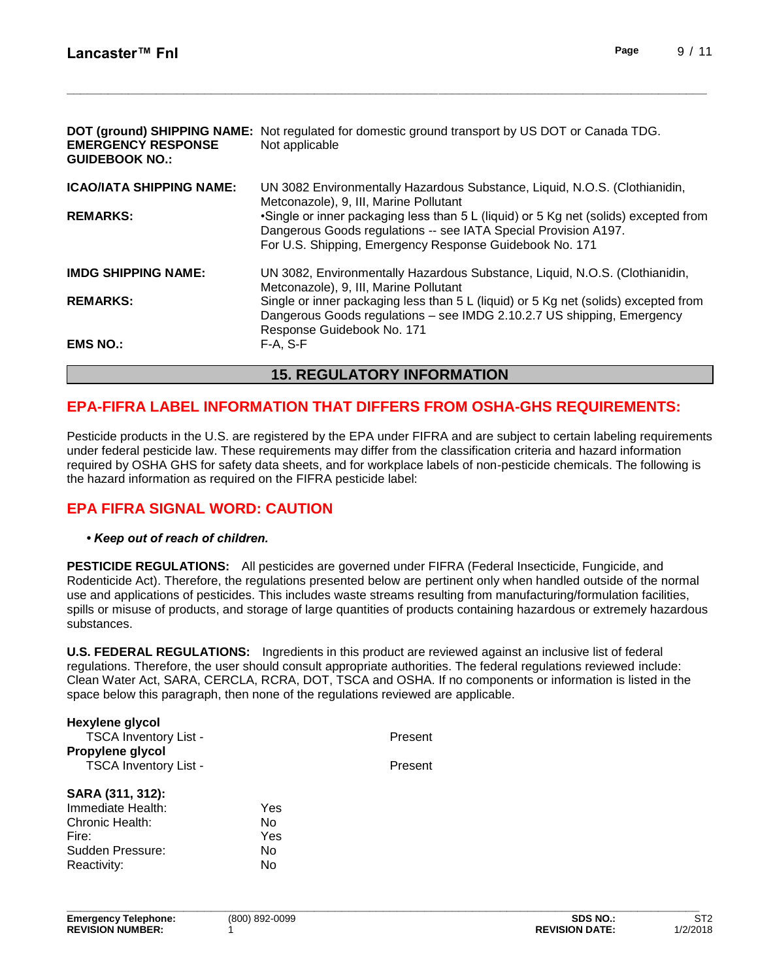| <b>EMERGENCY RESPONSE</b><br><b>GUIDEBOOK NO.:</b> | <b>DOT (ground) SHIPPING NAME:</b> Not regulated for domestic ground transport by US DOT or Canada TDG.<br>Not applicable                                                                                          |  |
|----------------------------------------------------|--------------------------------------------------------------------------------------------------------------------------------------------------------------------------------------------------------------------|--|
| <b>ICAO/IATA SHIPPING NAME:</b>                    | UN 3082 Environmentally Hazardous Substance, Liquid, N.O.S. (Clothianidin,<br>Metconazole), 9, III, Marine Pollutant                                                                                               |  |
| <b>REMARKS:</b>                                    | •Single or inner packaging less than 5 L (liquid) or 5 Kg net (solids) excepted from<br>Dangerous Goods regulations -- see IATA Special Provision A197.<br>For U.S. Shipping, Emergency Response Guidebook No. 171 |  |
| <b>IMDG SHIPPING NAME:</b>                         | UN 3082, Environmentally Hazardous Substance, Liquid, N.O.S. (Clothianidin,<br>Metconazole), 9, III, Marine Pollutant                                                                                              |  |
| <b>REMARKS:</b>                                    | Single or inner packaging less than 5 L (liquid) or 5 Kg net (solids) excepted from<br>Dangerous Goods regulations – see IMDG 2.10.2.7 US shipping, Emergency<br>Response Guidebook No. 171                        |  |
| <b>EMS NO.:</b>                                    | $F-A, S-F$                                                                                                                                                                                                         |  |
| <b>15. REGULATORY INFORMATION</b>                  |                                                                                                                                                                                                                    |  |

**\_\_\_\_\_\_\_\_\_\_\_\_\_\_\_\_\_\_\_\_\_\_\_\_\_\_\_\_\_\_\_\_\_\_\_\_\_\_\_\_\_\_\_\_\_\_\_\_\_\_\_\_\_\_\_\_\_\_\_\_\_\_\_\_\_\_\_\_\_\_\_\_\_\_\_\_\_\_\_\_\_\_\_\_\_\_\_\_\_\_\_\_\_**

## **EPA-FIFRA LABEL INFORMATION THAT DIFFERS FROM OSHA-GHS REQUIREMENTS:**

Pesticide products in the U.S. are registered by the EPA under FIFRA and are subject to certain labeling requirements under federal pesticide law. These requirements may differ from the classification criteria and hazard information required by OSHA GHS for safety data sheets, and for workplace labels of non-pesticide chemicals. The following is the hazard information as required on the FIFRA pesticide label:

## **EPA FIFRA SIGNAL WORD: CAUTION**

## *• Keep out of reach of children.*

**PESTICIDE REGULATIONS:** All pesticides are governed under FIFRA (Federal Insecticide, Fungicide, and Rodenticide Act). Therefore, the regulations presented below are pertinent only when handled outside of the normal use and applications of pesticides. This includes waste streams resulting from manufacturing/formulation facilities, spills or misuse of products, and storage of large quantities of products containing hazardous or extremely hazardous substances.

**U.S. FEDERAL REGULATIONS:** Ingredients in this product are reviewed against an inclusive list of federal regulations. Therefore, the user should consult appropriate authorities. The federal regulations reviewed include: Clean Water Act, SARA, CERCLA, RCRA, DOT, TSCA and OSHA. If no components or information is listed in the space below this paragraph, then none of the regulations reviewed are applicable.

| Hexylene glycol<br><b>TSCA Inventory List -</b><br>Propylene glycol<br>TSCA Inventory List -         |                              | Present<br>Present |
|------------------------------------------------------------------------------------------------------|------------------------------|--------------------|
| SARA (311, 312):<br>Immediate Health:<br>Chronic Health:<br>Fire:<br>Sudden Pressure:<br>Reactivity: | Yes<br>No<br>Yes<br>No<br>No |                    |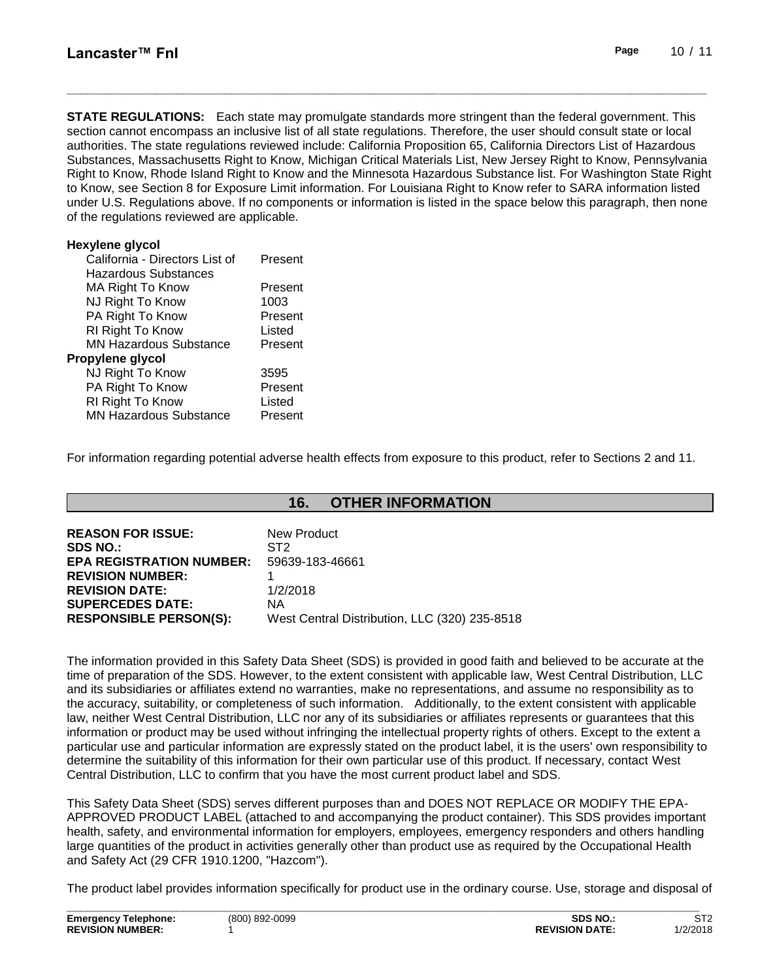**STATE REGULATIONS:** Each state may promulgate standards more stringent than the federal government. This section cannot encompass an inclusive list of all state regulations. Therefore, the user should consult state or local authorities. The state regulations reviewed include: California Proposition 65, California Directors List of Hazardous Substances, Massachusetts Right to Know, Michigan Critical Materials List, New Jersey Right to Know, Pennsylvania Right to Know, Rhode Island Right to Know and the Minnesota Hazardous Substance list. For Washington State Right to Know, see Section 8 for Exposure Limit information. For Louisiana Right to Know refer to SARA information listed under U.S. Regulations above. If no components or information is listed in the space below this paragraph, then none of the regulations reviewed are applicable.

**\_\_\_\_\_\_\_\_\_\_\_\_\_\_\_\_\_\_\_\_\_\_\_\_\_\_\_\_\_\_\_\_\_\_\_\_\_\_\_\_\_\_\_\_\_\_\_\_\_\_\_\_\_\_\_\_\_\_\_\_\_\_\_\_\_\_\_\_\_\_\_\_\_\_\_\_\_\_\_\_\_\_\_\_\_\_\_\_\_\_\_\_\_**

| <b>Hexylene glycol</b>         |         |
|--------------------------------|---------|
| California - Directors List of | Present |
| <b>Hazardous Substances</b>    |         |
| MA Right To Know               | Present |
| NJ Right To Know               | 1003    |
| PA Right To Know               | Present |
| RI Right To Know               | Listed  |
| <b>MN Hazardous Substance</b>  | Present |
| Propylene glycol               |         |
| NJ Right To Know               | 3595    |
| PA Right To Know               | Present |
| RI Right To Know               | Listed  |
| <b>MN Hazardous Substance</b>  | Present |

For information regarding potential adverse health effects from exposure to this product, refer to Sections 2 and 11.

## **16. OTHER INFORMATION**

| <b>REASON FOR ISSUE:</b>        | New Product                                   |
|---------------------------------|-----------------------------------------------|
| <b>SDS NO.:</b>                 | ST <sub>2</sub>                               |
| <b>EPA REGISTRATION NUMBER:</b> | 59639-183-46661                               |
| <b>REVISION NUMBER:</b>         |                                               |
| <b>REVISION DATE:</b>           | 1/2/2018                                      |
| <b>SUPERCEDES DATE:</b>         | ΝA                                            |
| <b>RESPONSIBLE PERSON(S):</b>   | West Central Distribution, LLC (320) 235-8518 |

The information provided in this Safety Data Sheet (SDS) is provided in good faith and believed to be accurate at the time of preparation of the SDS. However, to the extent consistent with applicable law, West Central Distribution, LLC and its subsidiaries or affiliates extend no warranties, make no representations, and assume no responsibility as to the accuracy, suitability, or completeness of such information. Additionally, to the extent consistent with applicable law, neither West Central Distribution, LLC nor any of its subsidiaries or affiliates represents or guarantees that this information or product may be used without infringing the intellectual property rights of others. Except to the extent a particular use and particular information are expressly stated on the product label, it is the users' own responsibility to determine the suitability of this information for their own particular use of this product. If necessary, contact West Central Distribution, LLC to confirm that you have the most current product label and SDS.

This Safety Data Sheet (SDS) serves different purposes than and DOES NOT REPLACE OR MODIFY THE EPA-APPROVED PRODUCT LABEL (attached to and accompanying the product container). This SDS provides important health, safety, and environmental information for employers, employees, emergency responders and others handling large quantities of the product in activities generally other than product use as required by the Occupational Health and Safety Act (29 CFR 1910.1200, "Hazcom").

The product label provides information specifically for product use in the ordinary course. Use, storage and disposal of